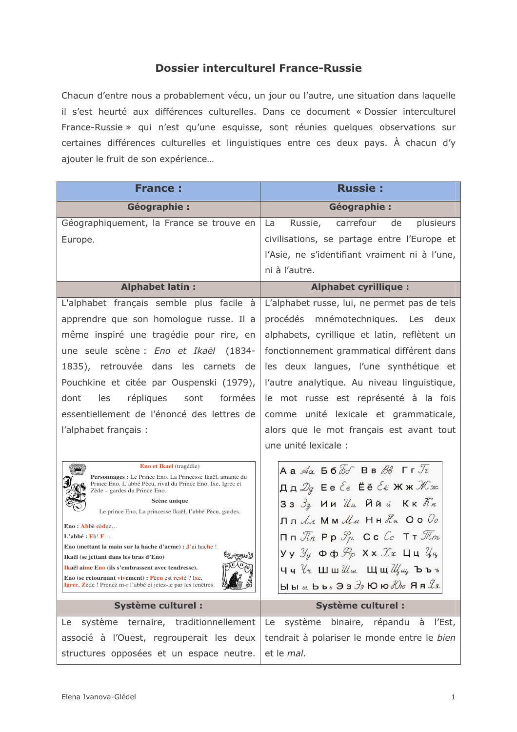## **Dossier interculturel France-Russie**

Chacun d'entre nous a probablement vécu, un jour ou l'autre, une situation dans laquelle il s'est heurté aux différences culturelles. Dans ce document « Dossier interculturel France-Russie » qui n'est qu'une esquisse, sont réunies quelques observations sur certaines différences culturelles et linguistiques entre ces deux pays. À chacun d'y ajouter le fruit de son expérience...

| <b>France:</b>                                                                                                            | <b>Russie:</b>                                                                                                                                                      |
|---------------------------------------------------------------------------------------------------------------------------|---------------------------------------------------------------------------------------------------------------------------------------------------------------------|
| <b>Géographie:</b>                                                                                                        | <b>Géographie:</b>                                                                                                                                                  |
| Géographiquement, la France se trouve en                                                                                  | carrefour<br>de<br>plusieurs<br>La<br>Russie,                                                                                                                       |
| Europe.                                                                                                                   | civilisations, se partage entre l'Europe et                                                                                                                         |
|                                                                                                                           | l'Asie, ne s'identifiant vraiment ni à l'une,                                                                                                                       |
|                                                                                                                           | ni à l'autre.                                                                                                                                                       |
| <b>Alphabet latin:</b>                                                                                                    | <b>Alphabet cyrillique:</b>                                                                                                                                         |
| L'alphabet français semble plus facile à                                                                                  | L'alphabet russe, lui, ne permet pas de tels                                                                                                                        |
| apprendre que son homologue russe. Il a                                                                                   | procédés mnémotechniques. Les deux                                                                                                                                  |
| même inspiré une tragédie pour rire, en                                                                                   | alphabets, cyrillique et latin, reflètent un                                                                                                                        |
| une seule scène : Eno et Ikaël (1834-                                                                                     | fonctionnement grammatical différent dans                                                                                                                           |
| 1835), retrouvée dans les carnets de                                                                                      | les deux langues, l'une synthétique et                                                                                                                              |
| Pouchkine et citée par Ouspenski (1979),                                                                                  | l'autre analytique. Au niveau linguistique,                                                                                                                         |
| répliques<br>formées<br>dont<br>les<br>sont                                                                               | le mot russe est représenté à la fois                                                                                                                               |
| essentiellement de l'énoncé des lettres de                                                                                | comme unité lexicale et grammaticale,                                                                                                                               |
| l'alphabet français :                                                                                                     | alors que le mot français est avant tout                                                                                                                            |
|                                                                                                                           | une unité lexicale :                                                                                                                                                |
| Eno et Ikael (tragédie)<br><b>Mail</b>                                                                                    | A $a \nless a 56$ $\overline{b}$ B B $\beta$ F $\overline{y_2}$                                                                                                     |
| Personnages : Le Prince Eno. La Princesse Ikaël, amante du<br>Prince Eno. L'abbé Pècu, rival du Prince Eno. Ixe, Igrec et | Дд $\mathcal{D}$ g Ее $\mathcal{E}$ е Ёё $\mathcal{E}$ ё Жж $\mathcal{H}$ ж                                                                                         |
| Zède - gardes du Prince Eno.<br>Scène unique                                                                              | 3з $3$ з Ии $\mathcal{U}$ и Ййй Кк $\tilde{\kappa}$ к                                                                                                               |
| Le prince Eno, La princesse Ikaël, l'abbé Pècu, gardes.                                                                   | $\pi$ $\pi$ $\mu$ $\mu$ $M$ $\mu$ $M$ $M$ $M$ $\sigma$ $\sigma$ $\sigma$                                                                                            |
| Eno: Abbè cèdez<br>L'abbé : Eh! F                                                                                         | $\Pi \Pi \mathcal{I}$ $\mathcal{I}$ $n$ $P \rho \mathcal{I}$ $P \rho$ $C \rho C c$ $T \tau \mathcal{I}$ $\mathcal{I}$                                               |
| Eno (mettant la main sur la hache d'arme) : J'ai hache !                                                                  | $y y y' y \Phi \Phi \mathcal{P}_{\varphi}$ X x $\mathcal{X} x$ $\Box$ $\Box$ $\mathcal{U}_{\varphi}$                                                                |
| Ikaël (se jettant dans les bras d'Eno)<br>FEAQ<br>Ikaël aime Eno (ils s'embrassent avec tendresse).                       |                                                                                                                                                                     |
| Eno (se retournant vivement) : Pècu est resté ? Ixe,                                                                      | Чч $\mathcal{U}_2$ Шш $\mathcal{U}\!\!\!\!\perp\!\!\!\!\perp\;\cdots$ Щщ $\mathcal{U}\!\!\!\!\perp\;\!\!\!\!\perp\;\mathcal{U}\!\!\!\!\perp\;\!\!\!\!\perp\;\cdots$ |
| Igrec, Zède ! Prenez m-r l'abbé et jetez-le par les fenêtres.                                                             | Ыы « Ьь «Ээ Ээ Юю Ю » Яя $g$                                                                                                                                        |
| <b>Système culturel:</b>                                                                                                  | <b>Système culturel:</b>                                                                                                                                            |
| système ternaire, traditionnellement<br>Le                                                                                | système<br>binaire, répandu<br>à<br>Le<br>l'Est,                                                                                                                    |
| associé à l'Ouest, regrouperait les deux                                                                                  | tendrait à polariser le monde entre le bien                                                                                                                         |
| structures opposées et un espace neutre.                                                                                  | et le mal.                                                                                                                                                          |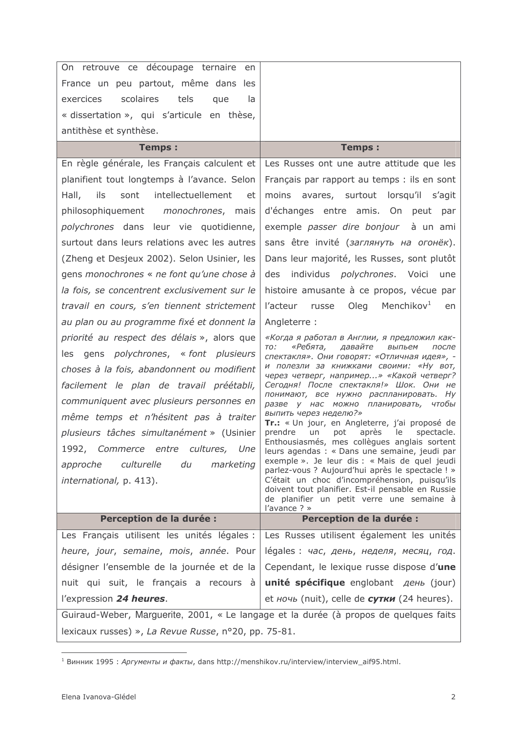| On retrouve ce découpage ternaire en                                                                                                                                                                                                                                                                                                                                                                                             |                                                                                                                                                                                                                                                                                                                                                                                                                                                                                                                                                                                                                                                                                                                                                                                                                                                                          |
|----------------------------------------------------------------------------------------------------------------------------------------------------------------------------------------------------------------------------------------------------------------------------------------------------------------------------------------------------------------------------------------------------------------------------------|--------------------------------------------------------------------------------------------------------------------------------------------------------------------------------------------------------------------------------------------------------------------------------------------------------------------------------------------------------------------------------------------------------------------------------------------------------------------------------------------------------------------------------------------------------------------------------------------------------------------------------------------------------------------------------------------------------------------------------------------------------------------------------------------------------------------------------------------------------------------------|
| France un peu partout, même dans les                                                                                                                                                                                                                                                                                                                                                                                             |                                                                                                                                                                                                                                                                                                                                                                                                                                                                                                                                                                                                                                                                                                                                                                                                                                                                          |
| scolaires<br>tels<br>exercices<br>que<br>la                                                                                                                                                                                                                                                                                                                                                                                      |                                                                                                                                                                                                                                                                                                                                                                                                                                                                                                                                                                                                                                                                                                                                                                                                                                                                          |
| « dissertation », qui s'articule en thèse,                                                                                                                                                                                                                                                                                                                                                                                       |                                                                                                                                                                                                                                                                                                                                                                                                                                                                                                                                                                                                                                                                                                                                                                                                                                                                          |
| antithèse et synthèse.                                                                                                                                                                                                                                                                                                                                                                                                           |                                                                                                                                                                                                                                                                                                                                                                                                                                                                                                                                                                                                                                                                                                                                                                                                                                                                          |
| <b>Temps:</b>                                                                                                                                                                                                                                                                                                                                                                                                                    | <b>Temps:</b>                                                                                                                                                                                                                                                                                                                                                                                                                                                                                                                                                                                                                                                                                                                                                                                                                                                            |
| En règle générale, les Français calculent et   Les Russes ont une autre attitude que les                                                                                                                                                                                                                                                                                                                                         |                                                                                                                                                                                                                                                                                                                                                                                                                                                                                                                                                                                                                                                                                                                                                                                                                                                                          |
| planifient tout longtemps à l'avance. Selon                                                                                                                                                                                                                                                                                                                                                                                      | Français par rapport au temps : ils en sont                                                                                                                                                                                                                                                                                                                                                                                                                                                                                                                                                                                                                                                                                                                                                                                                                              |
| intellectuellement<br>Hall, ils<br>sont<br>et                                                                                                                                                                                                                                                                                                                                                                                    | moins avares, surtout lorsqu'il s'agit                                                                                                                                                                                                                                                                                                                                                                                                                                                                                                                                                                                                                                                                                                                                                                                                                                   |
| philosophiquement monochrones, mais                                                                                                                                                                                                                                                                                                                                                                                              | d'échanges entre amis. On peut<br>par                                                                                                                                                                                                                                                                                                                                                                                                                                                                                                                                                                                                                                                                                                                                                                                                                                    |
| polychrones dans leur vie quotidienne,                                                                                                                                                                                                                                                                                                                                                                                           | exemple <i>passer dire bonjour</i> à un ami                                                                                                                                                                                                                                                                                                                                                                                                                                                                                                                                                                                                                                                                                                                                                                                                                              |
| surtout dans leurs relations avec les autres                                                                                                                                                                                                                                                                                                                                                                                     | sans être invité (заглянуть на огонёк).                                                                                                                                                                                                                                                                                                                                                                                                                                                                                                                                                                                                                                                                                                                                                                                                                                  |
| (Zheng et Desjeux 2002). Selon Usinier, les                                                                                                                                                                                                                                                                                                                                                                                      | Dans leur majorité, les Russes, sont plutôt                                                                                                                                                                                                                                                                                                                                                                                                                                                                                                                                                                                                                                                                                                                                                                                                                              |
| gens monochrones « ne font qu'une chose à                                                                                                                                                                                                                                                                                                                                                                                        | des individus polychrones. Voici<br>une                                                                                                                                                                                                                                                                                                                                                                                                                                                                                                                                                                                                                                                                                                                                                                                                                                  |
| la fois, se concentrent exclusivement sur le                                                                                                                                                                                                                                                                                                                                                                                     | histoire amusante à ce propos, vécue par                                                                                                                                                                                                                                                                                                                                                                                                                                                                                                                                                                                                                                                                                                                                                                                                                                 |
| travail en cours, s'en tiennent strictement                                                                                                                                                                                                                                                                                                                                                                                      | l'acteur<br>Oleg<br>Menchikov <sup>1</sup><br>russe<br>en                                                                                                                                                                                                                                                                                                                                                                                                                                                                                                                                                                                                                                                                                                                                                                                                                |
| au plan ou au programme fixé et donnent la                                                                                                                                                                                                                                                                                                                                                                                       | Angleterre:                                                                                                                                                                                                                                                                                                                                                                                                                                                                                                                                                                                                                                                                                                                                                                                                                                                              |
| priorité au respect des délais », alors que<br>les gens polychrones, « font plusieurs<br>choses à la fois, abandonnent ou modifient<br>facilement le plan de travail préétabli,<br>communiquent avec plusieurs personnes en<br>même temps et n'hésitent pas à traiter<br>plusieurs tâches simultanément » (Usinier<br>1992, Commerce entre cultures, Une<br>culturelle<br>du<br>marketing<br>approche<br>international, p. 413). | «Когда я работал в Англии, я предложил как-<br>«Ребята,<br>давайте<br>TO:<br>выпьем<br>после<br>спектакля». Они говорят: «Отличная идея», -<br>и полезли за книжками своими: «Ну вот,<br>через четверг, например» «Какой четверг?<br>Сегодня! После спектакля!» Шок. Они не<br>понимают, все нужно распланировать. Ну<br>разве у нас можно планировать, чтобы<br>выпить через неделю?»<br>Tr.: « Un jour, en Angleterre, j'ai proposé de<br>prendre<br>pot<br>après<br>le<br>un<br>spectacle.<br>Enthousiasmés, mes collègues anglais sortent<br>leurs agendas : « Dans une semaine, jeudi par<br>exemple ». Je leur dis : « Mais de quel jeudi<br>parlez-vous ? Aujourd'hui après le spectacle ! »<br>C'était un choc d'incompréhension, puisqu'ils<br>doivent tout planifier. Est-il pensable en Russie<br>de planifier un petit verre une semaine à<br>l'avance $?$ » |
| Perception de la durée :                                                                                                                                                                                                                                                                                                                                                                                                         | Perception de la durée :                                                                                                                                                                                                                                                                                                                                                                                                                                                                                                                                                                                                                                                                                                                                                                                                                                                 |
| Les Français utilisent les unités légales :                                                                                                                                                                                                                                                                                                                                                                                      | Les Russes utilisent également les unités                                                                                                                                                                                                                                                                                                                                                                                                                                                                                                                                                                                                                                                                                                                                                                                                                                |
| heure, jour, semaine, mois, année. Pour                                                                                                                                                                                                                                                                                                                                                                                          | légales : час, день, неделя, месяц, год.                                                                                                                                                                                                                                                                                                                                                                                                                                                                                                                                                                                                                                                                                                                                                                                                                                 |
| désigner l'ensemble de la journée et de la                                                                                                                                                                                                                                                                                                                                                                                       | Cependant, le lexique russe dispose d'une                                                                                                                                                                                                                                                                                                                                                                                                                                                                                                                                                                                                                                                                                                                                                                                                                                |
| nuit qui suit, le français a recours à                                                                                                                                                                                                                                                                                                                                                                                           | unité spécifique englobant <i>день</i> (jour)                                                                                                                                                                                                                                                                                                                                                                                                                                                                                                                                                                                                                                                                                                                                                                                                                            |
| l'expression 24 heures.                                                                                                                                                                                                                                                                                                                                                                                                          | et ночь (nuit), celle de сутки (24 heures).                                                                                                                                                                                                                                                                                                                                                                                                                                                                                                                                                                                                                                                                                                                                                                                                                              |
| Guiraud-Weber, Marguerite, 2001, « Le langage et la durée (à propos de quelques faits                                                                                                                                                                                                                                                                                                                                            |                                                                                                                                                                                                                                                                                                                                                                                                                                                                                                                                                                                                                                                                                                                                                                                                                                                                          |
| lexicaux russes) », La Revue Russe, nº20, pp. 75-81.                                                                                                                                                                                                                                                                                                                                                                             |                                                                                                                                                                                                                                                                                                                                                                                                                                                                                                                                                                                                                                                                                                                                                                                                                                                                          |

<sup>&</sup>lt;sup>1</sup> Винник 1995 : Аргументы и факты, dans http://menshikov.ru/interview/interview\_aif95.html.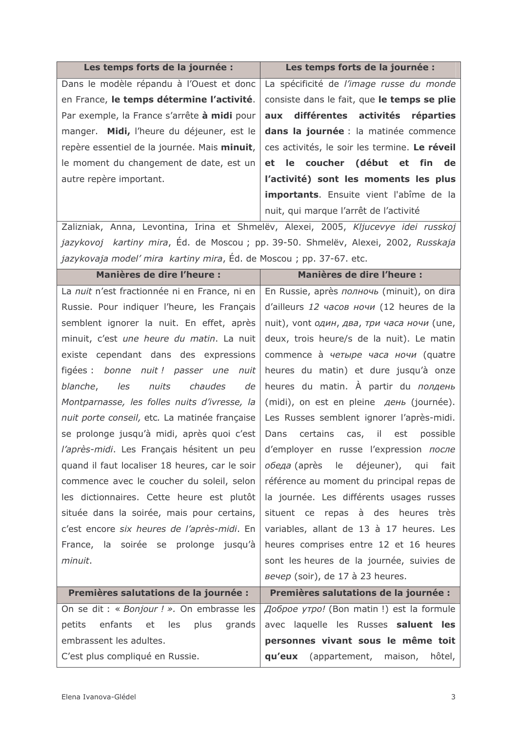| Les temps forts de la journée :              | Les temps forts de la journée :                |
|----------------------------------------------|------------------------------------------------|
| Dans le modèle répandu à l'Ouest et donc     | La spécificité de l'image russe du monde       |
| en France, le temps détermine l'activité.    | consiste dans le fait, que le temps se plie    |
| Par exemple, la France s'arrête à midi pour  | aux différentes activités réparties            |
| manger. Midi, l'heure du déjeuner, est le    | dans la journée : la matinée commence          |
| repère essentiel de la journée. Mais minuit, | ces activités, le soir les termine. Le réveil  |
| le moment du changement de date, est un      | et le coucher (début et fin de                 |
| autre repère important.                      | l'activité) sont les moments les plus          |
|                                              | <b>importants.</b> Ensuite vient l'abîme de la |
|                                              | nuit, qui marque l'arrêt de l'activité         |

Zalizniak, Anna, Levontina, Irina et Shmelëv, Alexei, 2005, Kljucevye idei russkoj jazykovoj kartiny mira, Éd. de Moscou; pp. 39-50. Shmelëv, Alexei, 2002, Russkaja jazykovaja model' mira kartiny mira, Éd. de Moscou ; pp. 37-67. etc.

| <b>Manières de dire l'heure :</b>                | <b>Manières de dire l'heure :</b>                      |
|--------------------------------------------------|--------------------------------------------------------|
| La nuit n'est fractionnée ni en France, ni en    | En Russie, après полночь (minuit), on dira             |
| Russie. Pour indiquer l'heure, les Français      | d'ailleurs 12 часов ночи (12 heures de la              |
| semblent ignorer la nuit. En effet, après        | nuit), vont один, два, три часа ночи (une,             |
| minuit, c'est une heure du matin. La nuit        | deux, trois heure/s de la nuit). Le matin              |
| existe cependant dans des expressions            | commence à четыре часа ночи (quatre                    |
| figées : bonne nuit ! passer une nuit            | heures du matin) et dure jusqu'à onze                  |
| nuits<br>chaudes<br>blanche,<br>les<br>de        | heures du matin. À partir du <i>полдень</i>            |
| Montparnasse, les folles nuits d'ivresse, la     | (midi), on est en pleine день (journée).               |
| nuit porte conseil, etc. La matinée française    | Les Russes semblent ignorer l'après-midi.              |
| se prolonge jusqu'à midi, après quoi c'est       | certains<br>cas, il<br>possible<br>Dans<br>est         |
| l'après-midi. Les Français hésitent un peu       | d'employer en russe l'expression nocne                 |
| quand il faut localiser 18 heures, car le soir   | déjeuner),<br><i>обеда</i> (après<br>le<br>qui<br>fait |
| commence avec le coucher du soleil, selon        | référence au moment du principal repas de              |
| les dictionnaires. Cette heure est plutôt        | la journée. Les différents usages russes               |
| située dans la soirée, mais pour certains,       | situent ce repas à des heures très                     |
| c'est encore six heures de l'après-midi. En      | variables, allant de 13 à 17 heures. Les               |
| France, la soirée se prolonge jusqu'à            | heures comprises entre 12 et 16 heures                 |
| minuit.                                          | sont les heures de la journée, suivies de              |
|                                                  | Beyep (soir), de 17 à 23 heures.                       |
| Premières salutations de la journée :            | Premières salutations de la journée :                  |
| On se dit : « Bonjour ! ». On embrasse les       | Доброе утро! (Bon matin!) est la formule               |
| grands<br>enfants<br>et<br>les<br>plus<br>petits | avec laquelle les Russes saluent les                   |
| embrassent les adultes.                          | personnes vivant sous le même toit                     |
| C'est plus compliqué en Russie.                  | (appartement, maison,<br>qu'eux<br>hôtel,              |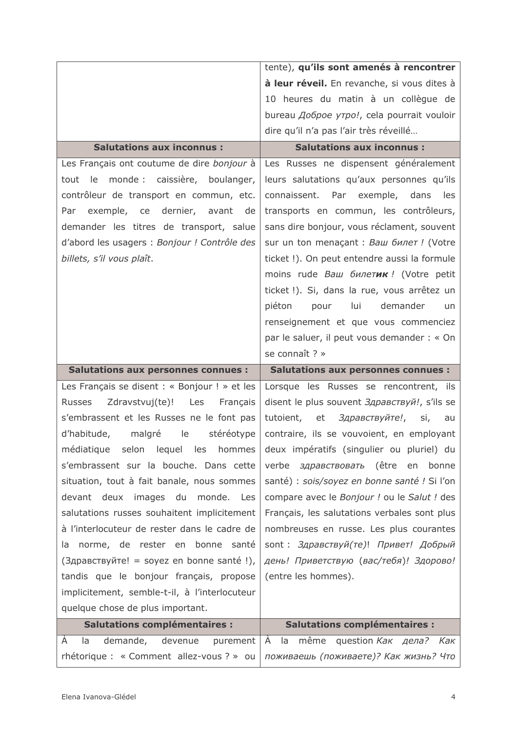|                                                                                     | tente), qu'ils sont amenés à rencontrer                                                    |
|-------------------------------------------------------------------------------------|--------------------------------------------------------------------------------------------|
|                                                                                     | à leur réveil. En revanche, si vous dites à                                                |
|                                                                                     | 10 heures du matin à un collègue de                                                        |
|                                                                                     | bureau Доброе утро!, cela pourrait vouloir                                                 |
|                                                                                     | dire qu'il n'a pas l'air très réveillé                                                     |
| <b>Salutations aux inconnus:</b>                                                    | <b>Salutations aux inconnus:</b>                                                           |
| Les Français ont coutume de dire bonjour à                                          | Les Russes ne dispensent généralement                                                      |
| monde : caissière, boulanger,<br>tout<br>le                                         | leurs salutations qu'aux personnes qu'ils                                                  |
| contrôleur de transport en commun, etc.                                             | connaissent. Par exemple,<br>dans<br>les                                                   |
| exemple, ce<br>dernier, avant<br>Par<br>de                                          | transports en commun, les contrôleurs,                                                     |
| demander les titres de transport, salue                                             | sans dire bonjour, vous réclament, souvent                                                 |
| d'abord les usagers : Bonjour ! Contrôle des                                        | sur un ton menaçant : Ваш билет ! (Votre                                                   |
| billets, s'il vous plaît.                                                           | ticket !). On peut entendre aussi la formule                                               |
|                                                                                     | moins rude Baw билетик ! (Votre petit                                                      |
|                                                                                     | ticket !). Si, dans la rue, vous arrêtez un                                                |
|                                                                                     | piéton<br>lui<br>demander<br>pour<br>un                                                    |
|                                                                                     | renseignement et que vous commenciez                                                       |
|                                                                                     | par le saluer, il peut vous demander : « On                                                |
|                                                                                     | se connaît ? »                                                                             |
|                                                                                     |                                                                                            |
| <b>Salutations aux personnes connues :</b>                                          | <b>Salutations aux personnes connues :</b>                                                 |
| Les Français se disent : « Bonjour ! » et les                                       | Lorsque les Russes se rencontrent, ils                                                     |
| Zdravstvuj(te)!<br>Les<br>Russes<br>Français                                        | disent le plus souvent Здравствуй!, s'ils se                                               |
| s'embrassent et les Russes ne le font pas                                           | tutoient, et Здравствуйте!, si,<br>au                                                      |
| malgré<br>le<br>stéréotype<br>d'habitude,                                           | contraire, ils se vouvoient, en employant                                                  |
| médiatique selon lequel les hommes                                                  |                                                                                            |
| s'embrassent sur la bouche. Dans cette                                              | verbe здравствовать (être en<br>bonne                                                      |
| situation, tout à fait banale, nous sommes                                          | santé) : sois/soyez en bonne santé ! Si l'on                                               |
| devant deux images du monde. Les                                                    | compare avec le Bonjour ! ou le Salut ! des                                                |
| salutations russes souhaitent implicitement                                         | Français, les salutations verbales sont plus                                               |
| à l'interlocuteur de rester dans le cadre de                                        | nombreuses en russe. Les plus courantes                                                    |
| norme, de rester en bonne santé<br>la.                                              | sont: Здравствуй(те)! Привет! Добрый                                                       |
| (Здравствуйте! = soyez en bonne santé !),                                           | день! Приветствую (вас/тебя)! Здорово!                                                     |
| tandis que le bonjour français, propose                                             | (entre les hommes).                                                                        |
| implicitement, semble-t-il, à l'interlocuteur                                       |                                                                                            |
| quelque chose de plus important.                                                    | deux impératifs (singulier ou pluriel) du                                                  |
| <b>Salutations complémentaires :</b>                                                | <b>Salutations complémentaires :</b>                                                       |
| demande, devenue<br>A<br>la<br>purement<br>rhétorique : « Comment allez-vous ? » ou | même question Как дела? Как<br>$\mathsf{A}$<br>la<br>поживаешь (поживаете)? Как жизнь? Что |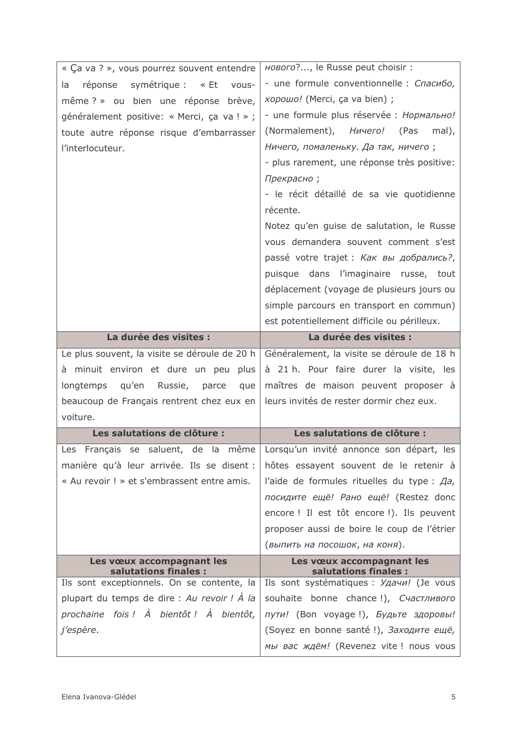| - une formule conventionnelle : Cnacubo,<br>réponse<br>symétrique : « Et<br>vous-<br>la<br>хорошо! (Merci, ça va bien) ;<br>même ? » ou bien une réponse brève,<br>- une formule plus réservée : Нормально!<br>généralement positive: « Merci, ça va ! » ;<br>(Normalement), Ничего!<br>mal),<br>(Pas<br>toute autre réponse risque d'embarrasser<br>Ничего, помаленьку. Да так, ничего;<br>l'interlocuteur.<br>- plus rarement, une réponse très positive:<br>Прекрасно;<br>- le récit détaillé de sa vie quotidienne<br>récente.<br>Notez qu'en guise de salutation, le Russe<br>vous demandera souvent comment s'est<br>passé votre trajet : Как вы добрались?, |
|--------------------------------------------------------------------------------------------------------------------------------------------------------------------------------------------------------------------------------------------------------------------------------------------------------------------------------------------------------------------------------------------------------------------------------------------------------------------------------------------------------------------------------------------------------------------------------------------------------------------------------------------------------------------|
|                                                                                                                                                                                                                                                                                                                                                                                                                                                                                                                                                                                                                                                                    |
|                                                                                                                                                                                                                                                                                                                                                                                                                                                                                                                                                                                                                                                                    |
|                                                                                                                                                                                                                                                                                                                                                                                                                                                                                                                                                                                                                                                                    |
|                                                                                                                                                                                                                                                                                                                                                                                                                                                                                                                                                                                                                                                                    |
|                                                                                                                                                                                                                                                                                                                                                                                                                                                                                                                                                                                                                                                                    |
|                                                                                                                                                                                                                                                                                                                                                                                                                                                                                                                                                                                                                                                                    |
|                                                                                                                                                                                                                                                                                                                                                                                                                                                                                                                                                                                                                                                                    |
|                                                                                                                                                                                                                                                                                                                                                                                                                                                                                                                                                                                                                                                                    |
|                                                                                                                                                                                                                                                                                                                                                                                                                                                                                                                                                                                                                                                                    |
|                                                                                                                                                                                                                                                                                                                                                                                                                                                                                                                                                                                                                                                                    |
|                                                                                                                                                                                                                                                                                                                                                                                                                                                                                                                                                                                                                                                                    |
|                                                                                                                                                                                                                                                                                                                                                                                                                                                                                                                                                                                                                                                                    |
| puisque dans l'imaginaire russe, tout                                                                                                                                                                                                                                                                                                                                                                                                                                                                                                                                                                                                                              |
| déplacement (voyage de plusieurs jours ou                                                                                                                                                                                                                                                                                                                                                                                                                                                                                                                                                                                                                          |
| simple parcours en transport en commun)                                                                                                                                                                                                                                                                                                                                                                                                                                                                                                                                                                                                                            |
| est potentiellement difficile ou périlleux.                                                                                                                                                                                                                                                                                                                                                                                                                                                                                                                                                                                                                        |
| La durée des visites :<br>La durée des visites :                                                                                                                                                                                                                                                                                                                                                                                                                                                                                                                                                                                                                   |
| Le plus souvent, la visite se déroule de 20 h<br>Généralement, la visite se déroule de 18 h                                                                                                                                                                                                                                                                                                                                                                                                                                                                                                                                                                        |
| à minuit environ et dure un peu<br>à 21 h. Pour faire durer la visite, les<br>plus                                                                                                                                                                                                                                                                                                                                                                                                                                                                                                                                                                                 |
| maîtres de maison peuvent proposer à<br>qu'en<br>Russie,<br>longtemps<br>parce<br>que                                                                                                                                                                                                                                                                                                                                                                                                                                                                                                                                                                              |
| beaucoup de Français rentrent chez eux en<br>leurs invités de rester dormir chez eux.                                                                                                                                                                                                                                                                                                                                                                                                                                                                                                                                                                              |
| voiture.                                                                                                                                                                                                                                                                                                                                                                                                                                                                                                                                                                                                                                                           |
| Les salutations de clôture :<br>Les salutations de clôture :                                                                                                                                                                                                                                                                                                                                                                                                                                                                                                                                                                                                       |
| Les Français se saluent, de la même   Lorsqu'un invité annonce son départ, les                                                                                                                                                                                                                                                                                                                                                                                                                                                                                                                                                                                     |
| manière qu'à leur arrivée. Ils se disent :<br>hôtes essayent souvent de le retenir à                                                                                                                                                                                                                                                                                                                                                                                                                                                                                                                                                                               |
| « Au revoir ! » et s'embrassent entre amis.<br>l'aide de formules rituelles du type : $\pi a$ ,                                                                                                                                                                                                                                                                                                                                                                                                                                                                                                                                                                    |
| посидите ещё! Рано ещё! (Restez donc                                                                                                                                                                                                                                                                                                                                                                                                                                                                                                                                                                                                                               |
| encore ! Il est tôt encore !). Ils peuvent                                                                                                                                                                                                                                                                                                                                                                                                                                                                                                                                                                                                                         |
| proposer aussi de boire le coup de l'étrier                                                                                                                                                                                                                                                                                                                                                                                                                                                                                                                                                                                                                        |
| (выпить на посошок, на коня).                                                                                                                                                                                                                                                                                                                                                                                                                                                                                                                                                                                                                                      |
| Les vœux accompagnant les<br>Les vœux accompagnant les                                                                                                                                                                                                                                                                                                                                                                                                                                                                                                                                                                                                             |
| salutations finales :<br>salutations finales :<br>Ils sont exceptionnels. On se contente, la<br>Ils sont systématiques : Удачи! (Je vous                                                                                                                                                                                                                                                                                                                                                                                                                                                                                                                           |
| plupart du temps de dire : Au revoir ! À la<br>souhaite bonne chance!), Счастливого                                                                                                                                                                                                                                                                                                                                                                                                                                                                                                                                                                                |
| prochaine fois! À bientôt! À bientôt,<br>пути! (Bon voyage!), Будьте здоровы!                                                                                                                                                                                                                                                                                                                                                                                                                                                                                                                                                                                      |
| j'espère.<br>(Soyez en bonne santé !), Заходите ещё,                                                                                                                                                                                                                                                                                                                                                                                                                                                                                                                                                                                                               |
| мы вас ждём! (Revenez vite ! nous vous                                                                                                                                                                                                                                                                                                                                                                                                                                                                                                                                                                                                                             |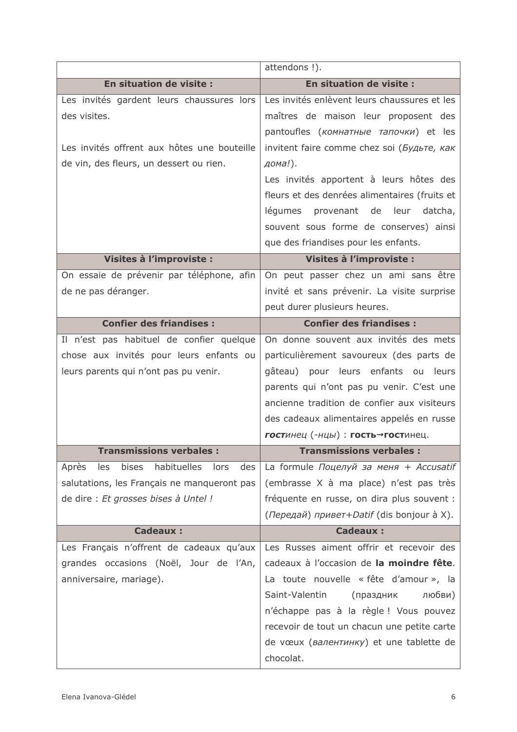|                                                     | attendons !).                                 |
|-----------------------------------------------------|-----------------------------------------------|
| En situation de visite :                            | En situation de visite :                      |
| Les invités gardent leurs chaussures lors           | Les invités enlèvent leurs chaussures et les  |
| des visites.                                        | maîtres de maison leur proposent des          |
|                                                     | pantoufles (комнатные тапочки) et les         |
| Les invités offrent aux hôtes une bouteille         | invitent faire comme chez soi (Будьте, как    |
| de vin, des fleurs, un dessert ou rien.             | дома!).                                       |
|                                                     | Les invités apportent à leurs hôtes des       |
|                                                     | fleurs et des denrées alimentaires (fruits et |
|                                                     | légumes provenant de leur datcha,             |
|                                                     | souvent sous forme de conserves) ainsi        |
|                                                     | que des friandises pour les enfants.          |
| <b>Visites à l'improviste :</b>                     | <b>Visites à l'improviste :</b>               |
| On essaie de prévenir par téléphone, afin           | On peut passer chez un ami sans être          |
| de ne pas déranger.                                 | invité et sans prévenir. La visite surprise   |
|                                                     | peut durer plusieurs heures.                  |
| <b>Confier des friandises:</b>                      | <b>Confier des friandises:</b>                |
| Il n'est pas habituel de confier quelque            | On donne souvent aux invités des mets         |
| chose aux invités pour leurs enfants ou             | particulièrement savoureux (des parts de      |
| leurs parents qui n'ont pas pu venir.               | gâteau) pour leurs enfants ou leurs           |
|                                                     | parents qui n'ont pas pu venir. C'est une     |
|                                                     | ancienne tradition de confier aux visiteurs   |
|                                                     | des cadeaux alimentaires appelés en russe     |
|                                                     | гостинец (-нцы) : гость→гостинец.             |
| <b>Transmissions verbales:</b>                      | <b>Transmissions verbales:</b>                |
| habituelles<br>bises<br>Après<br>les<br>des<br>lors | La formule Поцелуй за меня + Accusatif        |
| salutations, les Français ne manqueront pas         | (embrasse X à ma place) n'est pas très        |
| de dire : Et grosses bises à Untel !                | fréquente en russe, on dira plus souvent :    |
|                                                     | (Передай) привет+Datif (dis bonjour à X).     |
| <b>Cadeaux:</b>                                     | <b>Cadeaux:</b>                               |
| Les Français n'offrent de cadeaux qu'aux            | Les Russes aiment offrir et recevoir des      |
| grandes occasions (Noël, Jour de l'An,              | cadeaux à l'occasion de la moindre fête.      |
| anniversaire, mariage).                             | La toute nouvelle « fête d'amour », la        |
|                                                     | Saint-Valentin<br>(праздник<br>любви)         |
|                                                     | n'échappe pas à la règle ! Vous pouvez        |
|                                                     |                                               |
|                                                     | recevoir de tout un chacun une petite carte   |
|                                                     | de vœux (валентинку) et une tablette de       |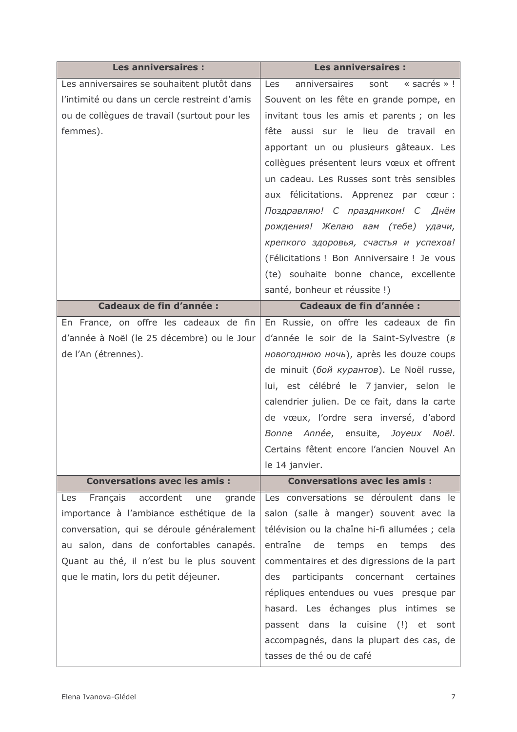| <b>Les anniversaires :</b>                    | <b>Les anniversaires:</b>                       |
|-----------------------------------------------|-------------------------------------------------|
| Les anniversaires se souhaitent plutôt dans   | « sacrés » !<br>anniversaires<br>sont<br>Les    |
| l'intimité ou dans un cercle restreint d'amis | Souvent on les fête en grande pompe, en         |
| ou de collègues de travail (surtout pour les  | invitant tous les amis et parents ; on les      |
| femmes).                                      | fête aussi sur le lieu de travail en            |
|                                               | apportant un ou plusieurs gâteaux. Les          |
|                                               | collègues présentent leurs vœux et offrent      |
|                                               | un cadeau. Les Russes sont très sensibles       |
|                                               | aux félicitations. Apprenez par cœur :          |
|                                               | Поздравляю! С праздником! С Днём                |
|                                               | рождения! Желаю вам (тебе) удачи,               |
|                                               | крепкого здоровья, счастья и успехов!           |
|                                               | (Félicitations ! Bon Anniversaire ! Je vous     |
|                                               | (te) souhaite bonne chance, excellente          |
|                                               | santé, bonheur et réussite !)                   |
| <b>Cadeaux de fin d'année :</b>               | Cadeaux de fin d'année :                        |
| En France, on offre les cadeaux de fin        | En Russie, on offre les cadeaux de fin          |
| d'année à Noël (le 25 décembre) ou le Jour    | d'année le soir de la Saint-Sylvestre (B        |
| de l'An (étrennes).                           | <i>новогоднюю ночь</i> ), après les douze coups |
|                                               | de minuit (бой курантов). Le Noël russe,        |
|                                               | lui, est célébré le 7 janvier, selon le         |
|                                               | calendrier julien. De ce fait, dans la carte    |
|                                               | de vœux, l'ordre sera inversé, d'abord          |
|                                               | Bonne Année, ensuite, Joyeux Noël.              |
|                                               | Certains fêtent encore l'ancien Nouvel An       |
|                                               | le 14 janvier.                                  |
| <b>Conversations avec les amis:</b>           | <b>Conversations avec les amis:</b>             |
| Français<br>accordent<br>grande<br>Les<br>une | Les conversations se déroulent dans le          |
| importance à l'ambiance esthétique de la      | salon (salle à manger) souvent avec la          |
| conversation, qui se déroule généralement     | télévision ou la chaîne hi-fi allumées ; cela   |
| au salon, dans de confortables canapés.       | entraîne<br>de<br>temps<br>en<br>temps<br>des   |
| Quant au thé, il n'est bu le plus souvent     | commentaires et des digressions de la part      |
| que le matin, lors du petit déjeuner.         | participants concernant certaines<br>des        |
|                                               | répliques entendues ou vues presque par         |
|                                               | hasard. Les échanges plus intimes se            |
|                                               | passent dans la cuisine (!) et sont             |
|                                               | accompagnés, dans la plupart des cas, de        |
|                                               | tasses de thé ou de café                        |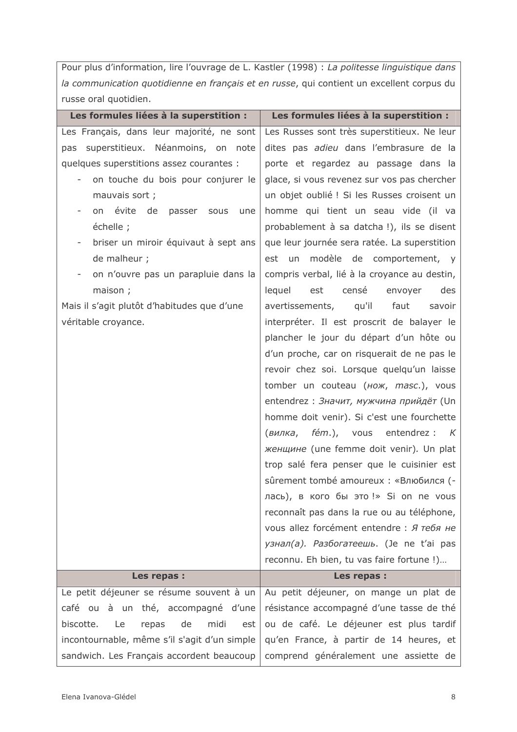Pour plus d'information, lire l'ouvrage de L. Kastler (1998) : La politesse linguistique dans la communication quotidienne en français et en russe, qui contient un excellent corpus du russe oral quotidien.

| Les formules liées à la superstition :        | Les formules liées à la superstition :                    |
|-----------------------------------------------|-----------------------------------------------------------|
| Les Français, dans leur majorité, ne sont     | Les Russes sont très superstitieux. Ne leur               |
| superstitieux. Néanmoins, on note<br>pas      | dites pas adieu dans l'embrasure de la                    |
| quelques superstitions assez courantes :      | porte et regardez au passage dans la                      |
| on touche du bois pour conjurer le            | glace, si vous revenez sur vos pas chercher               |
| mauvais sort;                                 | un objet oublié ! Si les Russes croisent un               |
| on évite<br>de<br>passer<br>sous<br>une       | homme qui tient un seau vide (il va                       |
| échelle ;                                     | probablement à sa datcha!), ils se disent                 |
| briser un miroir équivaut à sept ans          | que leur journée sera ratée. La superstition              |
| de malheur;                                   | modèle de comportement, y<br>est<br>un                    |
| on n'ouvre pas un parapluie dans la           | compris verbal, lié à la croyance au destin,              |
| maison;                                       | lequel<br>est<br>censé<br>envoyer<br>des                  |
| Mais il s'agit plutôt d'habitudes que d'une   | avertissements,<br>faut<br>qu'il<br>savoir                |
| véritable croyance.                           | interpréter. Il est proscrit de balayer le                |
|                                               | plancher le jour du départ d'un hôte ou                   |
|                                               | d'un proche, car on risquerait de ne pas le               |
|                                               | revoir chez soi. Lorsque quelqu'un laisse                 |
|                                               | tomber un couteau (нож, masc.), vous                      |
|                                               | entendrez: Значит, мужчина прийдёт (Un                    |
|                                               | homme doit venir). Si c'est une fourchette                |
|                                               | <i>fém</i> .), vous<br>entendrez :<br>(вилка,<br>$\kappa$ |
|                                               | женщине (une femme doit venir). Un plat                   |
|                                               | trop salé fera penser que le cuisinier est                |
|                                               | sûrement tombé amoureux : «Влюбился (-                    |
|                                               | лась), в кого бы это !» Si on ne vous                     |
|                                               | reconnaît pas dans la rue ou au téléphone,                |
|                                               | vous allez forcément entendre : Я тебя не                 |
|                                               | узнал(а). Разбогатеешь. (Je ne t'ai pas                   |
|                                               | reconnu. Eh bien, tu vas faire fortune !)                 |
| Les repas :                                   | Les repas :                                               |
| Le petit déjeuner se résume souvent à un      | Au petit déjeuner, on mange un plat de                    |
| à un thé, accompagné d'une<br>café ou         | résistance accompagné d'une tasse de thé                  |
| de<br>biscotte.<br>midi<br>Le<br>repas<br>est | ou de café. Le déjeuner est plus tardif                   |
| incontournable, même s'il s'agit d'un simple  | qu'en France, à partir de 14 heures, et                   |
| sandwich. Les Français accordent beaucoup     | comprend généralement une assiette de                     |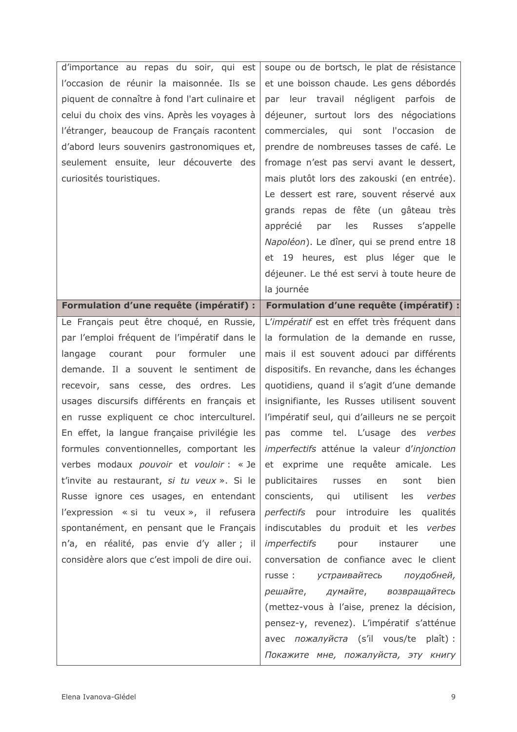| d'importance au repas du soir, qui est         | soupe ou de bortsch, le plat de résistance                                                |
|------------------------------------------------|-------------------------------------------------------------------------------------------|
| l'occasion de réunir la maisonnée. Ils se      | et une boisson chaude. Les gens débordés                                                  |
| piquent de connaître à fond l'art culinaire et | par leur travail négligent parfois de                                                     |
| celui du choix des vins. Après les voyages à   | déjeuner, surtout lors des négociations                                                   |
| l'étranger, beaucoup de Français racontent     | commerciales, qui sont l'occasion de                                                      |
| d'abord leurs souvenirs gastronomiques et,     | prendre de nombreuses tasses de café. Le                                                  |
| seulement ensuite, leur découverte des         | fromage n'est pas servi avant le dessert,                                                 |
| curiosités touristiques.                       | mais plutôt lors des zakouski (en entrée).                                                |
|                                                | Le dessert est rare, souvent réservé aux                                                  |
|                                                | grands repas de fête (un gâteau très                                                      |
|                                                | apprécié par les<br>Russes<br>s'appelle                                                   |
|                                                | Napoléon). Le dîner, qui se prend entre 18                                                |
|                                                | et 19 heures, est plus léger que le                                                       |
|                                                | déjeuner. Le thé est servi à toute heure de                                               |
|                                                | la journée                                                                                |
| Formulation d'une requête (impératif) :        | Formulation d'une requête (impératif) :                                                   |
| Le Français peut être choqué, en Russie,       | L'impératif est en effet très fréquent dans                                               |
| par l'emploi fréquent de l'impératif dans le   | la formulation de la demande en russe,                                                    |
| langage courant<br>pour formuler<br>une        | mais il est souvent adouci par différents                                                 |
| demande. Il a souvent le sentiment de          | dispositifs. En revanche, dans les échanges                                               |
| recevoir, sans cesse, des ordres. Les          | quotidiens, quand il s'agit d'une demande                                                 |
| usages discursifs différents en français et    | insignifiante, les Russes utilisent souvent                                               |
| en russe expliquent ce choc interculturel.     | l'impératif seul, qui d'ailleurs ne se perçoit                                            |
| En effet, la langue française privilégie les   | comme tel. L'usage des verbes<br>pas                                                      |
| formules conventionnelles, comportant les      | imperfectifs atténue la valeur d'injonction                                               |
|                                                | verbes modaux <i>pouvoir</i> et <i>vouloir</i> : « Je et exprime une requête amicale. Les |
| t'invite au restaurant, si tu veux ». Si le    | en sont<br>bien<br>publicitaires<br>russes                                                |
| Russe ignore ces usages, en entendant          | conscients, qui utilisent les<br>verbes                                                   |
| l'expression « si tu veux », il refusera       | perfectifs pour introduire les qualités                                                   |
| spontanément, en pensant que le Français       | indiscutables du produit et les verbes                                                    |
| n'a, en réalité, pas envie d'y aller ; il      | <i>imperfectifs</i><br>pour<br>instaurer<br>une                                           |
| considère alors que c'est impoli de dire oui.  | conversation de confiance avec le client                                                  |
|                                                | russe: устраивайтесь поудобней,                                                           |
|                                                |                                                                                           |
|                                                | решайте, думайте, возвращайтесь                                                           |
|                                                | (mettez-vous à l'aise, prenez la décision,                                                |
|                                                | pensez-y, revenez). L'impératif s'atténue                                                 |
|                                                | avec noжалуйста (s'il vous/te plaît) :                                                    |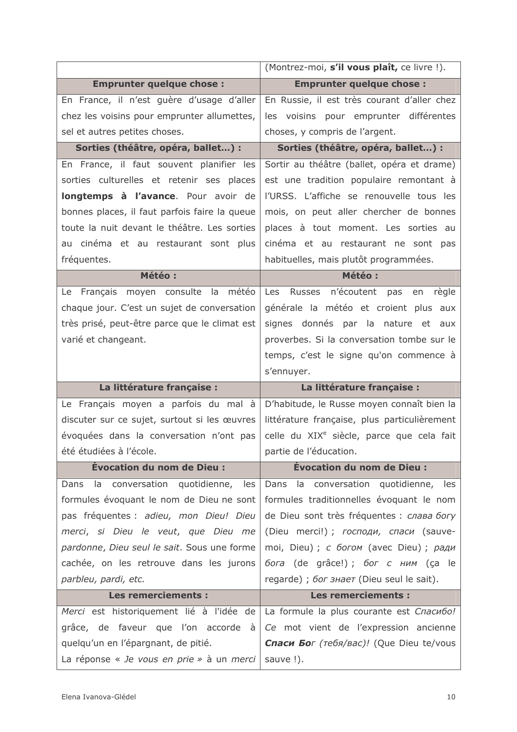|                                                   | (Montrez-moi, s'il vous plaît, ce livre !).           |
|---------------------------------------------------|-------------------------------------------------------|
| <b>Emprunter quelque chose:</b>                   | <b>Emprunter quelque chose:</b>                       |
| En France, il n'est guère d'usage d'aller         | En Russie, il est très courant d'aller chez           |
| chez les voisins pour emprunter allumettes,       | les voisins pour emprunter différentes                |
| sel et autres petites choses.                     | choses, y compris de l'argent.                        |
| Sorties (théâtre, opéra, ballet) :                | Sorties (théâtre, opéra, ballet) :                    |
| En France, il faut souvent planifier les          | Sortir au théâtre (ballet, opéra et drame)            |
| sorties culturelles et retenir ses places         | est une tradition populaire remontant à               |
| longtemps à l'avance. Pour avoir de               | l'URSS. L'affiche se renouvelle tous les              |
| bonnes places, il faut parfois faire la queue     | mois, on peut aller chercher de bonnes                |
| toute la nuit devant le théâtre. Les sorties      | places à tout moment. Les sorties au                  |
| au cinéma et au restaurant sont plus              | cinéma et au restaurant ne sont pas                   |
| fréquentes.                                       | habituelles, mais plutôt programmées.                 |
| Météo :                                           | Météo:                                                |
| Français moyen consulte la<br>météo<br>Le         | Russes n'écoutent pas<br>Les<br>règle<br>en           |
| chaque jour. C'est un sujet de conversation       | générale la météo et croient plus aux                 |
| très prisé, peut-être parce que le climat est     | signes donnés par la nature et aux                    |
| varié et changeant.                               | proverbes. Si la conversation tombe sur le            |
|                                                   | temps, c'est le signe qu'on commence à                |
|                                                   | s'ennuyer.                                            |
| La littérature française :                        | La littérature française :                            |
| Le Français moyen a parfois du mal à              |                                                       |
|                                                   | D'habitude, le Russe moyen connaît bien la            |
| discuter sur ce sujet, surtout si les œuvres      | littérature française, plus particulièrement          |
| évoquées dans la conversation n'ont pas           | celle du XIX <sup>e</sup> siècle, parce que cela fait |
| été étudiées à l'école.                           | partie de l'éducation.                                |
| Évocation du nom de Dieu :                        | Évocation du nom de Dieu :                            |
| conversation<br>quotidienne,<br>Dans<br>la<br>les | conversation quotidienne, les<br>Dans<br>la           |
| formules évoquant le nom de Dieu ne sont          | formules traditionnelles évoquant le nom              |
| pas fréquentes : adieu, mon Dieu! Dieu            | de Dieu sont très fréquentes : слава богу             |
| merci, si Dieu le veut, que Dieu me               | (Dieu merci!); господи, спаси (sauve-                 |
| pardonne, Dieu seul le sait. Sous une forme       | moi, Dieu); с богом (avec Dieu); ради                 |
| cachée, on les retrouve dans les jurons           | бога (de grâce!); бог с ним (ça le                    |
| parbleu, pardi, etc.                              | regarde) ; <i>for знает</i> (Dieu seul le sait).      |
| <b>Les remerciements :</b>                        | <b>Les remerciements:</b>                             |
| Merci est historiquement lié à l'idée de          | La formule la plus courante est Cnacubo!              |
| grâce, de faveur que l'on accorde à               | Ce mot vient de l'expression ancienne                 |
| quelqu'un en l'épargnant, de pitié.               | Спаси Бог (тебя/вас)! (Que Dieu te/vous               |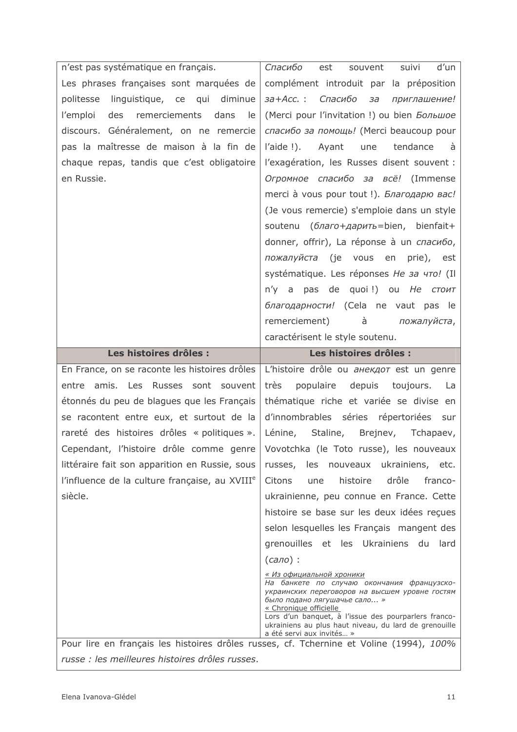| n'est pas systématique en français.                                                                                                        | Спасибо<br>d'un<br>est<br>souvent<br>suivi                                                                                                                                                                                                                                                                                              |
|--------------------------------------------------------------------------------------------------------------------------------------------|-----------------------------------------------------------------------------------------------------------------------------------------------------------------------------------------------------------------------------------------------------------------------------------------------------------------------------------------|
| Les phrases françaises sont marquées de                                                                                                    | complément introduit par la préposition                                                                                                                                                                                                                                                                                                 |
| linguistique, ce<br>qui<br>diminue<br>politesse                                                                                            | за+Асс.: Спасибо<br>за<br>приглашение!                                                                                                                                                                                                                                                                                                  |
| remerciements<br>l'emploi<br>des<br>dans<br>le                                                                                             | (Merci pour l'invitation !) ou bien Большое                                                                                                                                                                                                                                                                                             |
| discours. Généralement, on ne remercie                                                                                                     | спасибо за помощь! (Merci beaucoup pour                                                                                                                                                                                                                                                                                                 |
| pas la maîtresse de maison à la fin de                                                                                                     | l'aide!).<br>Ayant<br>tendance<br>une<br>à                                                                                                                                                                                                                                                                                              |
| chaque repas, tandis que c'est obligatoire                                                                                                 | l'exagération, les Russes disent souvent :                                                                                                                                                                                                                                                                                              |
| en Russie.                                                                                                                                 | Огромное спасибо за всё! (Immense                                                                                                                                                                                                                                                                                                       |
|                                                                                                                                            | merci à vous pour tout !). Благодарю вас!                                                                                                                                                                                                                                                                                               |
|                                                                                                                                            | (Je vous remercie) s'emploie dans un style                                                                                                                                                                                                                                                                                              |
|                                                                                                                                            | soutenu (благо+дарить=bien, bienfait+                                                                                                                                                                                                                                                                                                   |
|                                                                                                                                            | donner, offrir), La réponse à un <i>cnacu</i> bo,                                                                                                                                                                                                                                                                                       |
|                                                                                                                                            | пожалуйста (je vous en<br>prie), est                                                                                                                                                                                                                                                                                                    |
|                                                                                                                                            | systématique. Les réponses He за что! (Il                                                                                                                                                                                                                                                                                               |
|                                                                                                                                            | n'y a pas de quoi!) ou He CTOUT                                                                                                                                                                                                                                                                                                         |
|                                                                                                                                            | благодарности! (Cela ne vaut pas le                                                                                                                                                                                                                                                                                                     |
|                                                                                                                                            | remerciement) à пожалуйста,                                                                                                                                                                                                                                                                                                             |
|                                                                                                                                            | caractérisent le style soutenu.                                                                                                                                                                                                                                                                                                         |
| Les histoires drôles :                                                                                                                     | Les histoires drôles :                                                                                                                                                                                                                                                                                                                  |
|                                                                                                                                            |                                                                                                                                                                                                                                                                                                                                         |
| En France, on se raconte les histoires drôles                                                                                              | L'histoire drôle ou aHeKAOT est un genre                                                                                                                                                                                                                                                                                                |
| amis. Les Russes sont souvent<br>entre                                                                                                     | très<br>populaire<br>depuis<br>toujours.<br>La                                                                                                                                                                                                                                                                                          |
| étonnés du peu de blagues que les Français                                                                                                 | thématique riche et variée se divise en                                                                                                                                                                                                                                                                                                 |
| se racontent entre eux, et surtout de la                                                                                                   | d'innombrables séries<br>répertoriées<br>sur                                                                                                                                                                                                                                                                                            |
| rareté des histoires drôles « politiques ».                                                                                                | Lénine, Staline,<br>Brejnev,<br>Tchapaev,                                                                                                                                                                                                                                                                                               |
|                                                                                                                                            | Cependant, l'histoire drôle comme genre Vovotchka (le Toto russe), les nouveaux                                                                                                                                                                                                                                                         |
| littéraire fait son apparition en Russie, sous                                                                                             | russes, les nouveaux ukrainiens, etc.                                                                                                                                                                                                                                                                                                   |
| l'influence de la culture française, au XVIII <sup>e</sup>                                                                                 | Citons<br>histoire<br>drôle<br>franco-<br>une                                                                                                                                                                                                                                                                                           |
| siècle.                                                                                                                                    | ukrainienne, peu connue en France. Cette                                                                                                                                                                                                                                                                                                |
|                                                                                                                                            | histoire se base sur les deux idées reçues                                                                                                                                                                                                                                                                                              |
|                                                                                                                                            | selon lesquelles les Français mangent des                                                                                                                                                                                                                                                                                               |
|                                                                                                                                            | grenouilles et les Ukrainiens du lard                                                                                                                                                                                                                                                                                                   |
|                                                                                                                                            | $(cano)$ :                                                                                                                                                                                                                                                                                                                              |
|                                                                                                                                            | <u>« Из официальной хроники</u><br>На банкете по случаю окончания французско-<br>украинских переговоров на высшем уровне гостям<br>было подано лягушачье сало »<br>« Chronique officielle<br>Lors d'un banquet, à l'issue des pourparlers franco-<br>ukrainiens au plus haut niveau, du lard de grenouille<br>a été servi aux invités » |
| Pour lire en français les histoires drôles russes, cf. Tchernine et Voline (1994), 100%<br>russe : les meilleures histoires drôles russes. |                                                                                                                                                                                                                                                                                                                                         |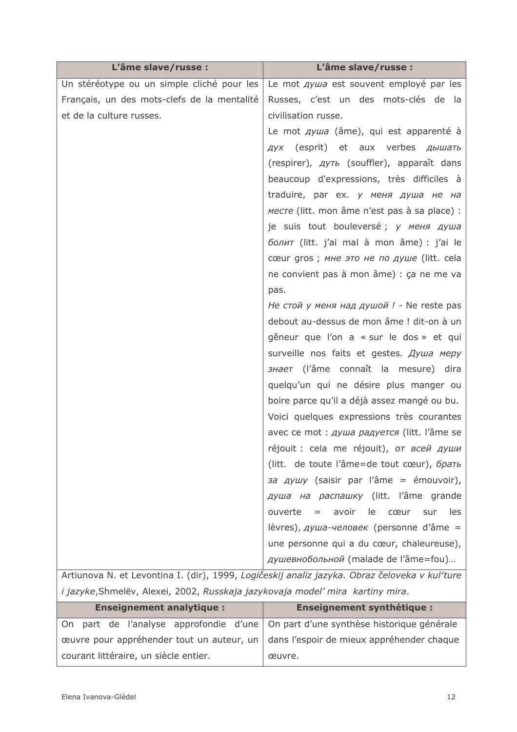| L'âme slave/russe :                                                                           | L'âme slave/russe :                                  |  |
|-----------------------------------------------------------------------------------------------|------------------------------------------------------|--|
| Un stéréotype ou un simple cliché pour les                                                    | Le mot <i>gywa</i> est souvent employé par les       |  |
| Français, un des mots-clefs de la mentalité                                                   | Russes, c'est un des mots-clés de la                 |  |
| et de la culture russes.                                                                      | civilisation russe.                                  |  |
|                                                                                               | Le mot <i>душа</i> (âme), qui est apparenté à        |  |
|                                                                                               | дух (esprit) et aux verbes дышать                    |  |
|                                                                                               | (respirer), $\mu y \tau b$ (souffler), apparaît dans |  |
|                                                                                               | beaucoup d'expressions, très difficiles à            |  |
|                                                                                               | traduire, par ex. у меня душа не на                  |  |
|                                                                                               | <i>Mecre</i> (litt. mon âme n'est pas à sa place) :  |  |
|                                                                                               | je suis tout bouleversé; у меня душа                 |  |
|                                                                                               | болит (litt. j'ai mal à mon âme) : j'ai le           |  |
|                                                                                               | сœur gros ; мне это не по душе (litt. cela           |  |
|                                                                                               | ne convient pas à mon âme) : ça ne me va             |  |
|                                                                                               | pas.                                                 |  |
|                                                                                               | Не стой у меня над душой ! - Ne reste pas            |  |
|                                                                                               | debout au-dessus de mon âme ! dit-on à un            |  |
|                                                                                               | gêneur que l'on a « sur le dos » et qui              |  |
|                                                                                               | surveille nos faits et gestes. Душа меру             |  |
|                                                                                               | <i>знает</i> (l'âme connaît la mesure) dira          |  |
|                                                                                               | quelqu'un qui ne désire plus manger ou               |  |
|                                                                                               | boire parce qu'il a déjà assez mangé ou bu.          |  |
|                                                                                               | Voici quelques expressions très courantes            |  |
|                                                                                               | avec ce mot : душа радуется (litt. l'âme se          |  |
|                                                                                               | réjouit : cela me réjouit), от всей души             |  |
|                                                                                               | (litt. de toute l'âme=de tout cœur), брать           |  |
|                                                                                               | за душу (saisir par l'âme = émouvoir),               |  |
|                                                                                               | <i>душа на распашку</i> (litt. l'âme grande          |  |
|                                                                                               | avoir<br>ouverte<br>les<br>le<br>cœur<br>sur<br>$=$  |  |
|                                                                                               | lèvres), душа-человек (personne d'âme =              |  |
|                                                                                               | une personne qui a du cœur, chaleureuse),            |  |
|                                                                                               | душевнобольной (malade de l'âme=fou)                 |  |
| Artiunova N. et Levontina I. (dir), 1999, Logičeskij analiz jazyka. Obraz čeloveka v kul'ture |                                                      |  |
| <i>i jazyke,</i> Shmelëv, Alexei, 2002, Russkaja jazykovaja model' mira kartiny mira.         |                                                      |  |

| <b>Enseignement analytique:</b>                                                     | <b>Enseignement synthétique:</b> |
|-------------------------------------------------------------------------------------|----------------------------------|
| On part de l'analyse approfondie d'une   On part d'une synthèse historique générale |                                  |
| œuvre pour appréhender tout un auteur, un dans l'espoir de mieux appréhender chaque |                                  |
| courant littéraire, un siècle entier.                                               | œuvre.                           |